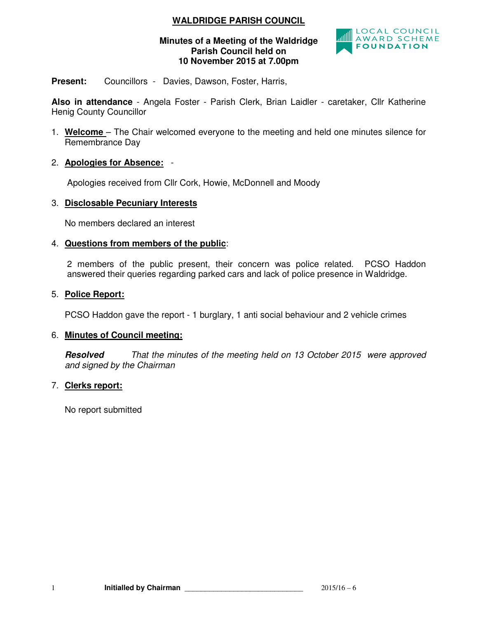# **WALDRIDGE PARISH COUNCIL**

## **Minutes of a Meeting of the Waldridge Parish Council held on 10 November 2015 at 7.00pm**



# Present: Councillors - Davies, Dawson, Foster, Harris,

**Also in attendance** - Angela Foster - Parish Clerk, Brian Laidler - caretaker, Cllr Katherine Henig County Councillor

- 1. **Welcome**  The Chair welcomed everyone to the meeting and held one minutes silence for Remembrance Day
- 2. **Apologies for Absence:** -

Apologies received from Cllr Cork, Howie, McDonnell and Moody

# 3. **Disclosable Pecuniary Interests**

No members declared an interest

# 4. **Questions from members of the public**:

2 members of the public present, their concern was police related. PCSO Haddon answered their queries regarding parked cars and lack of police presence in Waldridge.

# 5. **Police Report:**

PCSO Haddon gave the report - 1 burglary, 1 anti social behaviour and 2 vehicle crimes

# 6. **Minutes of Council meeting:**

**Resolved** That the minutes of the meeting held on 13 October 2015 were approved and signed by the Chairman

# 7. **Clerks report:**

No report submitted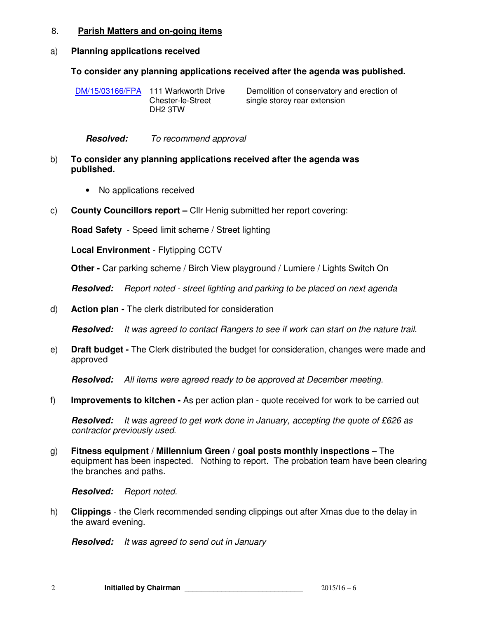## 8. **Parish Matters and on-going items**

## a) **Planning applications received**

## **To consider any planning applications received after the agenda was published.**

DM/15/03166/FPA 111 Warkworth Drive Chester-le-Street DH2 3TW Demolition of conservatory and erection of single storey rear extension

**Resolved:** To recommend approval

- b) **To consider any planning applications received after the agenda was published.** 
	- No applications received
- c) **County Councillors report** Cllr Henig submitted her report covering:

**Road Safety** - Speed limit scheme / Street lighting

**Local Environment** - Flytipping CCTV

**Other -** Car parking scheme / Birch View playground / Lumiere / Lights Switch On

**Resolved:** Report noted - street lighting and parking to be placed on next agenda

d) **Action plan -** The clerk distributed for consideration

**Resolved:** It was agreed to contact Rangers to see if work can start on the nature trail.

e) **Draft budget -** The Clerk distributed the budget for consideration, changes were made and approved

**Resolved:** All items were agreed ready to be approved at December meeting.

f) **Improvements to kitchen -** As per action plan - quote received for work to be carried out

**Resolved:** It was agreed to get work done in January, accepting the quote of £626 as contractor previously used.

g) **Fitness equipment / Millennium Green / goal posts monthly inspections –** The equipment has been inspected. Nothing to report. The probation team have been clearing the branches and paths.

**Resolved:** Report noted.

h) **Clippings** - the Clerk recommended sending clippings out after Xmas due to the delay in the award evening.

**Resolved:** It was agreed to send out in January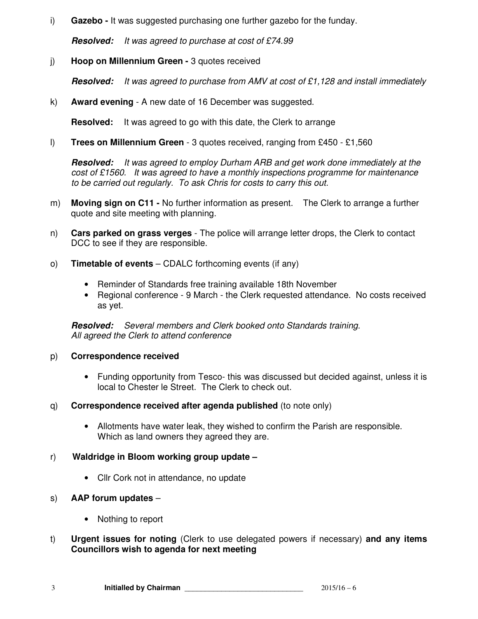i) **Gazebo -** It was suggested purchasing one further gazebo for the funday.

**Resolved:** It was agreed to purchase at cost of £74.99

j) **Hoop on Millennium Green -** 3 quotes received

**Resolved:** It was agreed to purchase from AMV at cost of £1,128 and install immediately

k) **Award evening** - A new date of 16 December was suggested.

**Resolved:** It was agreed to go with this date, the Clerk to arrange

l) **Trees on Millennium Green** - 3 quotes received, ranging from £450 - £1,560

**Resolved:** It was agreed to employ Durham ARB and get work done immediately at the cost of £1560. It was agreed to have a monthly inspections programme for maintenance to be carried out regularly. To ask Chris for costs to carry this out.

- m) **Moving sign on C11** No further information as present. The Clerk to arrange a further quote and site meeting with planning.
- n) **Cars parked on grass verges**  The police will arrange letter drops, the Clerk to contact DCC to see if they are responsible.
- o) **Timetable of events** CDALC forthcoming events (if any)
	- Reminder of Standards free training available 18th November
	- Regional conference 9 March the Clerk requested attendance. No costs received as yet.

**Resolved:** Several members and Clerk booked onto Standards training. All agreed the Clerk to attend conference

# p) **Correspondence received**

- Funding opportunity from Tesco- this was discussed but decided against, unless it is local to Chester le Street. The Clerk to check out.
- q) **Correspondence received after agenda published** (to note only)
	- Allotments have water leak, they wished to confirm the Parish are responsible. Which as land owners they agreed they are.

# r) **Waldridge in Bloom working group update –**

- Cllr Cork not in attendance, no update
- s) **AAP forum updates** 
	- Nothing to report
- t) **Urgent issues for noting** (Clerk to use delegated powers if necessary) **and any items Councillors wish to agenda for next meeting**